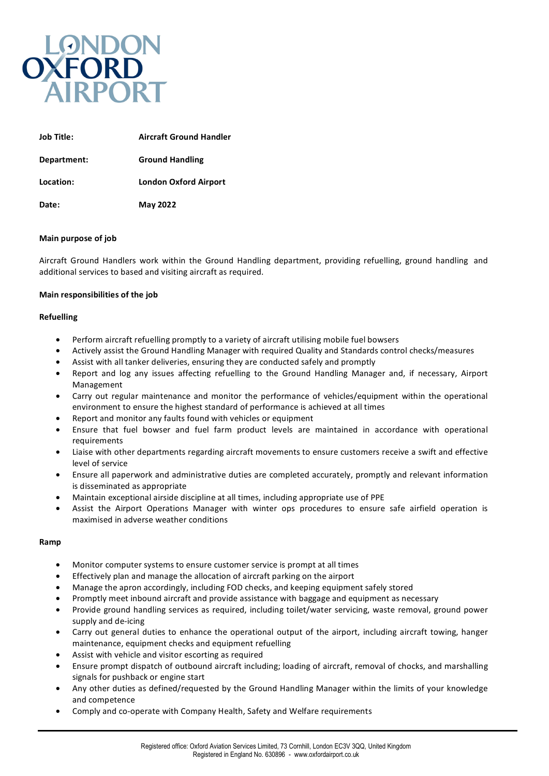

| <b>Job Title:</b> | <b>Aircraft Ground Handler</b> |
|-------------------|--------------------------------|
| Department:       | <b>Ground Handling</b>         |
| Location:         | <b>London Oxford Airport</b>   |
| Date:             | <b>May 2022</b>                |

## **Main purpose of job**

Aircraft Ground Handlers work within the Ground Handling department, providing refuelling, ground handling and additional services to based and visiting aircraft as required.

## **Main responsibilities of the job**

## **Refuelling**

- Perform aircraft refuelling promptly to a variety of aircraft utilising mobile fuel bowsers
- Actively assist the Ground Handling Manager with required Quality and Standards control checks/measures
- Assist with all tanker deliveries, ensuring they are conducted safely and promptly
- Report and log any issues affecting refuelling to the Ground Handling Manager and, if necessary, Airport Management
- Carry out regular maintenance and monitor the performance of vehicles/equipment within the operational environment to ensure the highest standard of performance is achieved at all times
- Report and monitor any faults found with vehicles or equipment
- Ensure that fuel bowser and fuel farm product levels are maintained in accordance with operational requirements
- Liaise with other departments regarding aircraft movements to ensure customers receive a swift and effective level of service
- Ensure all paperwork and administrative duties are completed accurately, promptly and relevant information is disseminated as appropriate
- Maintain exceptional airside discipline at all times, including appropriate use of PPE
- Assist the Airport Operations Manager with winter ops procedures to ensure safe airfield operation is maximised in adverse weather conditions

## **Ramp**

- Monitor computer systems to ensure customer service is prompt at all times
- Effectively plan and manage the allocation of aircraft parking on the airport
- Manage the apron accordingly, including FOD checks, and keeping equipment safely stored
- Promptly meet inbound aircraft and provide assistance with baggage and equipment as necessary
- Provide ground handling services as required, including toilet/water servicing, waste removal, ground power supply and de-icing
- Carry out general duties to enhance the operational output of the airport, including aircraft towing, hanger maintenance, equipment checks and equipment refuelling
- Assist with vehicle and visitor escorting as required
- Ensure prompt dispatch of outbound aircraft including; loading of aircraft, removal of chocks, and marshalling signals for pushback or engine start
- Any other duties as defined/requested by the Ground Handling Manager within the limits of your knowledge and competence
- Comply and co-operate with Company Health, Safety and Welfare requirements